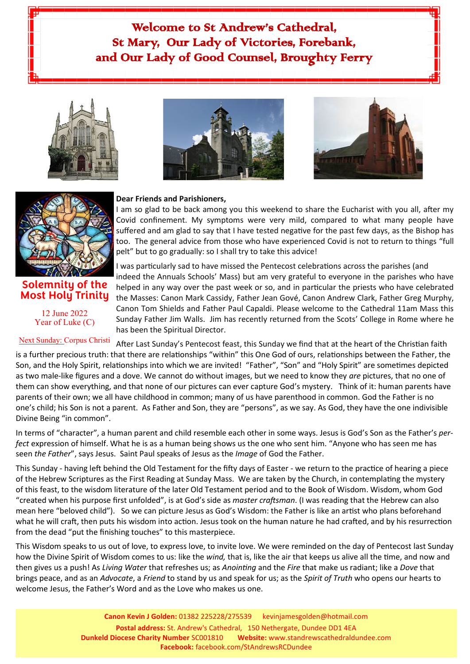# Welcome to St Andrew's Cathedral, St Mary, Our Lady of Victories, Forebank, and Our Lady of Good Counsel, Broughty Ferry





### **Solemnity of the Most Holy Trinity**

12 June 2022 Year of Luke (C)





#### **Dear Friends and Parishioners,**

I am so glad to be back among you this weekend to share the Eucharist with you all, after my Covid confinement. My symptoms were very mild, compared to what many people have suffered and am glad to say that I have tested negative for the past few days, as the Bishop has too. The general advice from those who have experienced Covid is not to return to things "full pelt" but to go gradually: so I shall try to take this advice!

I was particularly sad to have missed the Pentecost celebrations across the parishes (and indeed the Annuals Schools' Mass) but am very grateful to everyone in the parishes who have helped in any way over the past week or so, and in particular the priests who have celebrated the Masses: Canon Mark Cassidy, Father Jean Gové, Canon Andrew Clark, Father Greg Murphy, Canon Tom Shields and Father Paul Capaldi. Please welcome to the Cathedral 11am Mass this Sunday Father Jim Walls. Jim has recently returned from the Scots' College in Rome where he has been the Spiritual Director.

After Last Sunday's Pentecost feast, this Sunday we find that at the heart of the Christian faith is a further precious truth: that there are relationships "within" this One God of ours, relationships between the Father, the Son, and the Holy Spirit, relationships into which we are invited! "Father", "Son" and "Holy Spirit" are sometimes depicted as two male-like figures and a dove. We cannot do without images, but we need to know they *are* pictures, that no one of them can show everything, and that none of our pictures can ever capture God's mystery. Think of it: human parents have parents of their own; we all have childhood in common; many of us have parenthood in common. God the Father is no one's child; his Son is not a parent. As Father and Son, they are "persons", as we say. As God, they have the one indivisible Divine Being "in common". Next Sunday: Corpus Christi

In terms of "character", a human parent and child resemble each other in some ways. Jesus is God's Son as the Father's *perfect* expression of himself. What he is as a human being shows us the one who sent him. "Anyone who has seen me has seen *the Father*", says Jesus. Saint Paul speaks of Jesus as the *Image* of God the Father.

This Sunday - having left behind the Old Testament for the fifty days of Easter - we return to the practice of hearing a piece of the Hebrew Scriptures as the First Reading at Sunday Mass. We are taken by the Church, in contemplating the mystery of this feast, to the wisdom literature of the later Old Testament period and to the Book of Wisdom. Wisdom, whom God "created when his purpose first unfolded", is at God's side as *master craftsman*. (I was reading that the Hebrew can also mean here "beloved child"). So we can picture Jesus as God's Wisdom: the Father is like an artist who plans beforehand what he will craft, then puts his wisdom into action. Jesus took on the human nature he had crafted, and by his resurrection from the dead "put the finishing touches" to this masterpiece.

This Wisdom speaks to us out of love, to express love, to invite love. We were reminded on the day of Pentecost last Sunday how the Divine Spirit of Wisdom comes to us: like the *wind,* that is, like the air that keeps us alive all the time, and now and then gives us a push! As *Living Water* that refreshes us; as *Anointing* and the *Fire* that make us radiant; like a *Dove* that brings peace, and as an *Advocate*, a *Friend* to stand by us and speak for us; as the *Spirit of Truth* who opens our hearts to welcome Jesus, the Father's Word and as the Love who makes us one.